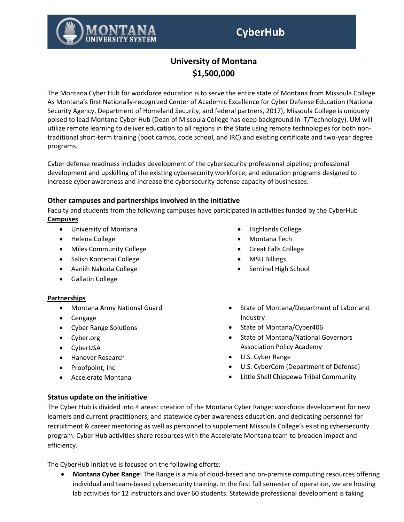

The Montana Cyber Hub for workforce education is to serve the entire state of Montana from Missoula College. As Montana's first Nationally-recognized Center of Academic Excellence for Cyber Defense Education (National Security Agency, Department of Homeland Security, and federal partners, 2017), Missoula College is uniquely poised to lead Montana Cyber Hub (Dean of Missoula College has deep background in IT/Technology). UM will utilize remote learning to deliver education to all regions in the State using remote technologies for both nontraditional short-term training (boot camps, code school, and IRC) and existing certificate and two-year degree programs.

Cyber defense readiness includes development of the cybersecurity professional pipeline; professional development and upskilling of the existing cybersecurity workforce; and education programs designed to increase cyber awareness and increase the cybersecurity defense capacity of businesses.

# **Other campuses and partnerships involved in the initiative**

Faculty and students from the following campuses have participated in activities funded by the CyberHub **Campuses**

- University of Montana
- Helena College
- Miles Community College
- Salish Kootenai College
- Aaniih Nakoda College
- Gallatin College

### **Partnerships**

- Montana Army National Guard
- Cengage
- Cyber Range Solutions
- Cyber.org
- CyberUSA
- Hanover Research
- Proofpoint, Inc
- Accelerate Montana
- Highlands College
- Montana Tech
- Great Falls College
- MSU Billings
- Sentinel High School
- State of Montana/Department of Labor and Industry
- State of Montana/Cyber406
- State of Montana/National Governors Association Policy Academy
- U.S. Cyber Range
- U.S. CyberCom (Department of Defense)
- Little Shell Chippewa Tribal Community

# **Status update on the initiative**

The Cyber Hub is divided into 4 areas: creation of the Montana Cyber Range; workforce development for new learners and current practitioners; and statewide cyber awareness education, and dedicating personnel for recruitment & career mentoring as well as personnel to supplement Missoula College's existing cybersecurity program. Cyber Hub activities share resources with the Accelerate Montana team to broaden impact and efficiency.

The CyberHub initiative is focused on the following efforts:

• **Montana Cyber Range**: The Range is a mix of cloud-based and on-premise computing resources offering individual and team-based cybersecurity training. In the first full semester of operation, we are hosting lab activities for 12 instructors and over 60 students. Statewide professional development is taking